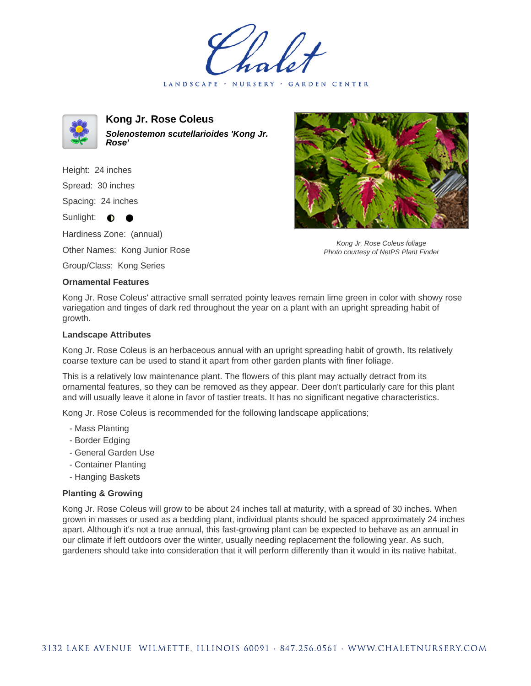LANDSCAPE · NURSERY · GARDEN CENTER



**Kong Jr. Rose Coleus Solenostemon scutellarioides 'Kong Jr. Rose'**

Height: 24 inches Spread: 30 inches Spacing: 24 inches

Sunlight:  $\bullet$ 

Hardiness Zone: (annual)

Other Names: Kong Junior Rose

Group/Class: Kong Series

## **Ornamental Features**

Kong Jr. Rose Coleus' attractive small serrated pointy leaves remain lime green in color with showy rose variegation and tinges of dark red throughout the year on a plant with an upright spreading habit of growth.

## **Landscape Attributes**

Kong Jr. Rose Coleus is an herbaceous annual with an upright spreading habit of growth. Its relatively coarse texture can be used to stand it apart from other garden plants with finer foliage.

This is a relatively low maintenance plant. The flowers of this plant may actually detract from its ornamental features, so they can be removed as they appear. Deer don't particularly care for this plant and will usually leave it alone in favor of tastier treats. It has no significant negative characteristics.

Kong Jr. Rose Coleus is recommended for the following landscape applications;

- Mass Planting
- Border Edging
- General Garden Use
- Container Planting
- Hanging Baskets

## **Planting & Growing**

Kong Jr. Rose Coleus will grow to be about 24 inches tall at maturity, with a spread of 30 inches. When grown in masses or used as a bedding plant, individual plants should be spaced approximately 24 inches apart. Although it's not a true annual, this fast-growing plant can be expected to behave as an annual in our climate if left outdoors over the winter, usually needing replacement the following year. As such, gardeners should take into consideration that it will perform differently than it would in its native habitat.



Kong Jr. Rose Coleus foliage Photo courtesy of NetPS Plant Finder